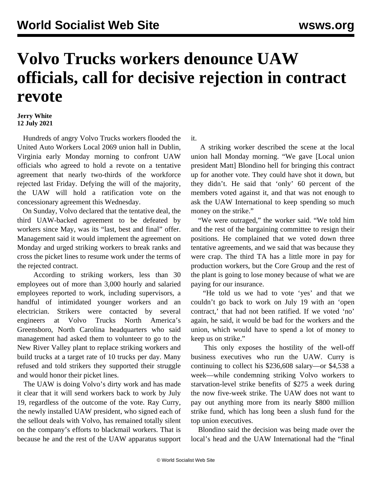## **Volvo Trucks workers denounce UAW officials, call for decisive rejection in contract revote**

## **Jerry White 12 July 2021**

 Hundreds of angry Volvo Trucks workers flooded the United Auto Workers Local 2069 union hall in Dublin, Virginia early Monday morning to confront UAW officials who agreed to hold a revote on a tentative agreement that nearly two-thirds of the workforce rejected last Friday. Defying the will of the majority, the UAW will hold a ratification vote on the concessionary agreement this Wednesday.

 On Sunday, Volvo declared that the tentative deal, the third UAW-backed agreement to be defeated by workers since May, was its "last, best and final" offer. Management said it would implement the agreement on Monday and urged striking workers to break ranks and cross the picket lines to resume work under the terms of the rejected contract.

 According to striking workers, less than 30 employees out of more than 3,000 hourly and salaried employees reported to work, including supervisors, a handful of intimidated younger workers and an electrician. Strikers were contacted by several engineers at Volvo Trucks North America's Greensboro, North Carolina headquarters who said management had asked them to volunteer to go to the New River Valley plant to replace striking workers and build trucks at a target rate of 10 trucks per day. Many refused and told strikers they supported their struggle and would honor their picket lines.

 The UAW is doing Volvo's dirty work and has made it clear that it will send workers back to work by July 19, regardless of the outcome of the vote. Ray Curry, the newly installed UAW president, who signed each of the sellout deals with Volvo, has remained totally silent on the company's efforts to blackmail workers. That is because he and the rest of the UAW apparatus support it.

 A striking worker described the scene at the local union hall Monday morning. "We gave [Local union president Matt] Blondino hell for bringing this contract up for another vote. They could have shot it down, but they didn't. He said that 'only' 60 percent of the members voted against it, and that was not enough to ask the UAW International to keep spending so much money on the strike."

 "We were outraged," the worker said. "We told him and the rest of the bargaining committee to resign their positions. He complained that we voted down three tentative agreements, and we said that was because they were crap. The third TA has a little more in pay for production workers, but the Core Group and the rest of the plant is going to lose money because of what we are paying for our insurance.

 "He told us we had to vote 'yes' and that we couldn't go back to work on July 19 with an 'open contract,' that had not been ratified. If we voted 'no' again, he said, it would be bad for the workers and the union, which would have to spend a lot of money to keep us on strike."

 This only exposes the hostility of the well-off business executives who run the UAW. Curry is continuing to collect his \$236,608 salary—or \$4,538 a week—while condemning striking Volvo workers to starvation-level strike benefits of \$275 a week during the now five-week strike. The UAW does not want to pay out anything more from its nearly \$800 million strike fund, which has long been a slush fund for the top union executives.

 Blondino said the decision was being made over the local's head and the UAW International had the "final